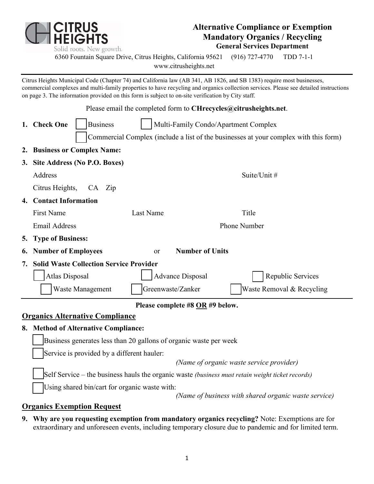

### **Alternative Compliance or Exemption Mandatory Organics / Recycling General Services Department**

6360 Fountain Square Drive, Citrus Heights, California 95621 (916) 727-4770 TDD 7-1-1

[www.citrusheights.net](http://www.citrusheights.net/)

Citrus Heights Municipal Code (Chapter 74) and California law (AB 341, AB 1826, and SB 1383) require most businesses, commercial complexes and multi-family properties to have recycling and organics collection services. Please see detailed instructions on page 3. The information provided on this form is subject to on-site verification by City staff.

|                                 | Please email the completed form to CHrecycles@citrusheights.net.                     |                                      |                           |  |  |  |  |  |  |  |  |
|---------------------------------|--------------------------------------------------------------------------------------|--------------------------------------|---------------------------|--|--|--|--|--|--|--|--|
|                                 | 1. Check One<br><b>Business</b>                                                      | Multi-Family Condo/Apartment Complex |                           |  |  |  |  |  |  |  |  |
|                                 | Commercial Complex (include a list of the businesses at your complex with this form) |                                      |                           |  |  |  |  |  |  |  |  |
|                                 | 2. Business or Complex Name:                                                         |                                      |                           |  |  |  |  |  |  |  |  |
|                                 | 3. Site Address (No P.O. Boxes)                                                      |                                      |                           |  |  |  |  |  |  |  |  |
|                                 | Address                                                                              |                                      | Suite/Unit #              |  |  |  |  |  |  |  |  |
|                                 | Citrus Heights,<br>CA Zip                                                            |                                      |                           |  |  |  |  |  |  |  |  |
|                                 | 4. Contact Information                                                               |                                      |                           |  |  |  |  |  |  |  |  |
|                                 | <b>First Name</b>                                                                    | Last Name                            | Title                     |  |  |  |  |  |  |  |  |
|                                 | <b>Email Address</b>                                                                 |                                      | Phone Number              |  |  |  |  |  |  |  |  |
|                                 | 5. Type of Business:                                                                 |                                      |                           |  |  |  |  |  |  |  |  |
|                                 | <b>Number of Units</b><br><b>6. Number of Employees</b><br>or                        |                                      |                           |  |  |  |  |  |  |  |  |
|                                 | 7. Solid Waste Collection Service Provider                                           |                                      |                           |  |  |  |  |  |  |  |  |
|                                 | <b>Atlas Disposal</b>                                                                | <b>Advance Disposal</b>              | Republic Services         |  |  |  |  |  |  |  |  |
|                                 | Waste Management                                                                     | Greenwaste/Zanker                    | Waste Removal & Recycling |  |  |  |  |  |  |  |  |
| Please complete #8 OR #9 below. |                                                                                      |                                      |                           |  |  |  |  |  |  |  |  |
|                                 | <u><b>Organics Alternative Compliance</b></u>                                        |                                      |                           |  |  |  |  |  |  |  |  |
|                                 | 8. Method of Alternative Compliance:                                                 |                                      |                           |  |  |  |  |  |  |  |  |
|                                 | Business generates less than 20 gallons of organic waste per week                    |                                      |                           |  |  |  |  |  |  |  |  |
|                                 | Service is provided by a different hauler:                                           |                                      |                           |  |  |  |  |  |  |  |  |
|                                 | (Name of organic waste service provider)                                             |                                      |                           |  |  |  |  |  |  |  |  |
|                                 |                                                                                      |                                      |                           |  |  |  |  |  |  |  |  |

Self Service – the business hauls the organic waste *(business must retain weight ticket records)*

Using shared bin/cart for organic waste with:

*(Name of business with shared organic waste service)* 

#### **Organics Exemption Request**

**9. Why are you requesting exemption from mandatory organics recycling?** Note: Exemptions are for extraordinary and unforeseen events, including temporary closure due to pandemic and for limited term.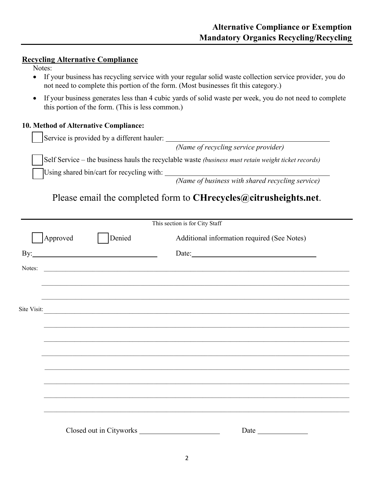#### **Recycling Alternative Compliance**

- Notes:
- If your business has recycling service with your regular solid waste collection service provider, you do not need to complete this portion of the form. (Most businesses fit this category.)
- If your business generates less than 4 cubic yards of solid waste per week, you do not need to complete this portion of the form. (This is less common.)

#### **10. Method of Alternative Compliance:**

Service is provided by a different hauler:

*(Name of recycling service provider)*

Self Service – the business hauls the recyclable waste *(business must retain weight ticket records)*

Using shared bin/cart for recycling with:

*(Name of business with shared recycling service)* 

## Please email the completed form to **CHrecycles@citrusheights.net**.

|             |          |                         | This section is for City Staff                                                                                        |                                                                                                                                                                                                                               |  |
|-------------|----------|-------------------------|-----------------------------------------------------------------------------------------------------------------------|-------------------------------------------------------------------------------------------------------------------------------------------------------------------------------------------------------------------------------|--|
|             | Approved | Denied                  |                                                                                                                       | Additional information required (See Notes)                                                                                                                                                                                   |  |
|             |          |                         |                                                                                                                       |                                                                                                                                                                                                                               |  |
| Notes:      |          |                         | <u> 1989 - Johann Harry Harry Harry Harry Harry Harry Harry Harry Harry Harry Harry Harry Harry Harry Harry Harry</u> |                                                                                                                                                                                                                               |  |
|             |          |                         |                                                                                                                       |                                                                                                                                                                                                                               |  |
|             |          |                         |                                                                                                                       | <u> 1989 - Johann Stoff, amerikan bestein besteht der Stoffenstein und der Stoffenstein und der Stoffenstein und</u>                                                                                                          |  |
| Site Visit: |          |                         |                                                                                                                       | <u> 1989 - Johann Stoff, amerikansk politik (d. 1989)</u>                                                                                                                                                                     |  |
|             |          |                         |                                                                                                                       |                                                                                                                                                                                                                               |  |
|             |          |                         |                                                                                                                       |                                                                                                                                                                                                                               |  |
|             |          |                         |                                                                                                                       |                                                                                                                                                                                                                               |  |
|             |          |                         |                                                                                                                       |                                                                                                                                                                                                                               |  |
|             |          |                         |                                                                                                                       |                                                                                                                                                                                                                               |  |
|             |          |                         |                                                                                                                       |                                                                                                                                                                                                                               |  |
|             |          |                         |                                                                                                                       |                                                                                                                                                                                                                               |  |
|             |          |                         |                                                                                                                       |                                                                                                                                                                                                                               |  |
|             |          | Closed out in Cityworks |                                                                                                                       | Date and the same state of the state of the state of the state of the state of the state of the state of the state of the state of the state of the state of the state of the state of the state of the state of the state of |  |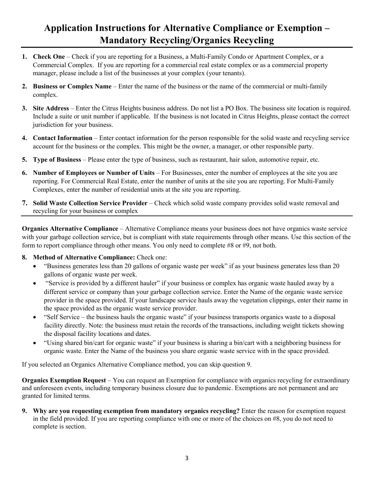# **Application Instructions for Alternative Compliance or Exemption – Mandatory Recycling/Organics Recycling**

- **1. Check One** Check if you are reporting for a Business, a Multi-Family Condo or Apartment Complex, or a Commercial Complex. If you are reporting for a commercial real estate complex or as a commercial property manager, please include a list of the businesses at your complex (your tenants).
- **2. Business or Complex Name** Enter the name of the business or the name of the commercial or multi-family complex.
- **3. Site Address** Enter the Citrus Heights business address. Do not list a PO Box. The business site location is required. Include a suite or unit number if applicable. If the business is not located in Citrus Heights, please contact the correct jurisdiction for your business.
- **4. Contact Information** Enter contact information for the person responsible for the solid waste and recycling service account for the business or the complex. This might be the owner, a manager, or other responsible party.
- **5. Type of Business** Please enter the type of business, such as restaurant, hair salon, automotive repair, etc.
- **6. Number of Employees or Number of Units** For Businesses, enter the number of employees at the site you are reporting. For Commercial Real Estate, enter the number of units at the site you are reporting. For Multi-Family Complexes, enter the number of residential units at the site you are reporting.
- **7. Solid Waste Collection Service Provider** Check which solid waste company provides solid waste removal and recycling for your business or complex

**Organics Alternative Compliance** – Alternative Compliance means your business does not have organics waste service with your garbage collection service, but is compliant with state requirements through other means. Use this section of the form to report compliance through other means. You only need to complete #8 or #9, not both.

- **8. Method of Alternative Compliance:** Check one:
	- "Business generates less than 20 gallons of organic waste per week" if as your business generates less than 20 gallons of organic waste per week.
	- "Service is provided by a different hauler" if your business or complex has organic waste hauled away by a different service or company than your garbage collection service. Enter the Name of the organic waste service provider in the space provided. If your landscape service hauls away the vegetation clippings, enter their name in the space provided as the organic waste service provider.
	- "Self Service the business hauls the organic waste" if your business transports organics waste to a disposal facility directly. Note: the business must retain the records of the transactions, including weight tickets showing the disposal facility locations and dates.
	- "Using shared bin/cart for organic waste" if your business is sharing a bin/cart with a neighboring business for organic waste. Enter the Name of the business you share organic waste service with in the space provided.

If you selected an Organics Alternative Compliance method, you can skip question 9.

**Organics Exemption Request** – You can request an Exemption for compliance with organics recycling for extraordinary and unforeseen events, including temporary business closure due to pandemic. Exemptions are not permanent and are granted for limited terms.

**9. Why are you requesting exemption from mandatory organics recycling?** Enter the reason for exemption request in the field provided. If you are reporting compliance with one or more of the choices on #8, you do not need to complete is section.